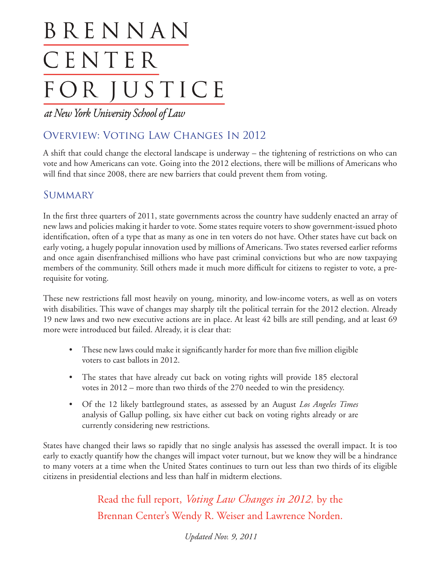# BRENNAN CENTER FOR JUSTICE

at New York University School of Law

### Overview: Voting Law Changes In 2012

A shift that could change the electoral landscape is underway – the tightening of restrictions on who can vote and how Americans can vote. Going into the 2012 elections, there will be millions of Americans who will find that since 2008, there are new barriers that could prevent them from voting.

#### **SUMMARY**

In the first three quarters of 2011, state governments across the country have suddenly enacted an array of new laws and policies making it harder to vote. Some states require voters to show government-issued photo identification, often of a type that as many as one in ten voters do not have. Other states have cut back on early voting, a hugely popular innovation used by millions of Americans. Two states reversed earlier reforms and once again disenfranchised millions who have past criminal convictions but who are now taxpaying members of the community. Still others made it much more difficult for citizens to register to vote, a prerequisite for voting.

These new restrictions fall most heavily on young, minority, and low-income voters, as well as on voters with disabilities. This wave of changes may sharply tilt the political terrain for the 2012 election. Already 19 new laws and two new executive actions are in place. At least 42 bills are still pending, and at least 69 more were introduced but failed. Already, it is clear that:

- These new laws could make it significantly harder for more than five million eligible voters to cast ballots in 2012.
- The states that have already cut back on voting rights will provide 185 electoral votes in 2012 – more than two thirds of the 270 needed to win the presidency.
- • Of the 12 likely battleground states, as assessed by an August *Los Angeles Times* analysis of Gallup polling, six have either cut back on voting rights already or are currently considering new restrictions.

States have changed their laws so rapidly that no single analysis has assessed the overall impact. It is too early to exactly quantify how the changes will impact voter turnout, but we know they will be a hindrance to many voters at a time when the United States continues to turn out less than two thirds of its eligible citizens in presidential elections and less than half in midterm elections.

> Read the full report, *Voting Law Changes in 2012*, by the Brennan Center's Wendy R. Weiser and Lawrence Norden.

> > *Updated Nov. 9, 2011*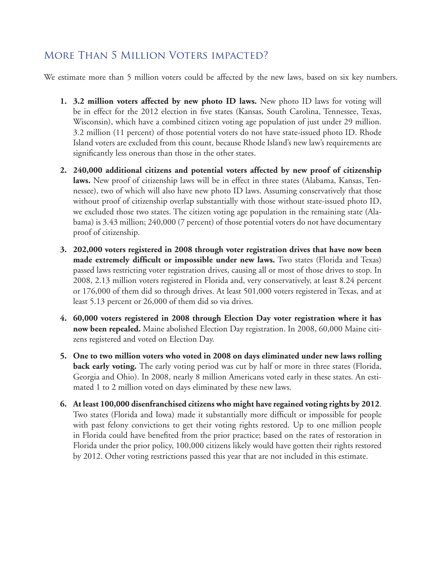#### More Than 5 Million Voters impacted?

We estimate more than 5 million voters could be affected by the new laws, based on six key numbers.

- **1. 3.2 million voters affected by new photo ID laws.** New photo ID laws for voting will be in effect for the 2012 election in five states (Kansas, South Carolina, Tennessee, Texas, Wisconsin), which have a combined citizen voting age population of just under 29 million. 3.2 million (11 percent) of those potential voters do not have state-issued photo ID. Rhode Island voters are excluded from this count, because Rhode Island's new law's requirements are significantly less onerous than those in the other states.
- **2. 240,000 additional citizens and potential voters affected by new proof of citizenship laws.** New proof of citizenship laws will be in effect in three states (Alabama, Kansas, Tennessee), two of which will also have new photo ID laws. Assuming conservatively that those without proof of citizenship overlap substantially with those without state-issued photo ID, we excluded those two states. The citizen voting age population in the remaining state (Alabama) is 3.43 million; 240,000 (7 percent) of those potential voters do not have documentary proof of citizenship.
- **3. 202,000 voters registered in 2008 through voter registration drives that have now been made extremely difficult or impossible under new laws.** Two states (Florida and Texas) passed laws restricting voter registration drives, causing all or most of those drives to stop. In 2008, 2.13 million voters registered in Florida and, very conservatively, at least 8.24 percent or 176,000 of them did so through drives. At least 501,000 voters registered in Texas, and at least 5.13 percent or 26,000 of them did so via drives.
- **4. 60,000 voters registered in 2008 through Election Day voter registration where it has now been repealed.** Maine abolished Election Day registration. In 2008, 60,000 Maine citizens registered and voted on Election Day.
- **5. One to two million voters who voted in 2008 on days eliminated under new laws rolling back early voting.** The early voting period was cut by half or more in three states (Florida, Georgia and Ohio). In 2008, nearly 8 million Americans voted early in these states. An estimated 1 to 2 million voted on days eliminated by these new laws.
- **6. At least 100,000 disenfranchised citizens who might have regained voting rights by 2012**. Two states (Florida and Iowa) made it substantially more difficult or impossible for people with past felony convictions to get their voting rights restored. Up to one million people in Florida could have benefited from the prior practice; based on the rates of restoration in Florida under the prior policy, 100,000 citizens likely would have gotten their rights restored by 2012. Other voting restrictions passed this year that are not included in this estimate.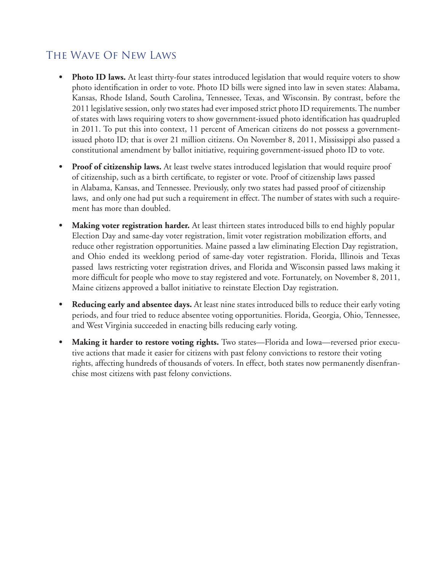#### The Wave Of New Laws

- **Photo ID laws.** At least thirty-four states introduced legislation that would require voters to show photo identification in order to vote. Photo ID bills were signed into law in seven states: Alabama, Kansas, Rhode Island, South Carolina, Tennessee, Texas, and Wisconsin. By contrast, before the 2011 legislative session, only two states had ever imposed strict photo ID requirements. The number of states with laws requiring voters to show government-issued photo identification has quadrupled in 2011. To put this into context, 11 percent of American citizens do not possess a governmentissued photo ID; that is over 21 million citizens. On November 8, 2011, Mississippi also passed a constitutional amendment by ballot initiative, requiring government-issued photo ID to vote.
- Proof of citizenship laws. At least twelve states introduced legislation that would require proof of citizenship, such as a birth certificate, to register or vote. Proof of citizenship laws passed in Alabama, Kansas, and Tennessee. Previously, only two states had passed proof of citizenship laws, and only one had put such a requirement in effect. The number of states with such a requirement has more than doubled.
- **Making voter registration harder.** At least thirteen states introduced bills to end highly popular Election Day and same-day voter registration, limit voter registration mobilization efforts, and reduce other registration opportunities. Maine passed a law eliminating Election Day registration, and Ohio ended its weeklong period of same-day voter registration. Florida, Illinois and Texas passed laws restricting voter registration drives, and Florida and Wisconsin passed laws making it more difficult for people who move to stay registered and vote. Fortunately, on November 8, 2011, Maine citizens approved a ballot initiative to reinstate Election Day registration.
- **Reducing early and absentee days.** At least nine states introduced bills to reduce their early voting periods, and four tried to reduce absentee voting opportunities. Florida, Georgia, Ohio, Tennessee, and West Virginia succeeded in enacting bills reducing early voting.
- **Making it harder to restore voting rights.** Two states—Florida and Iowa—reversed prior executive actions that made it easier for citizens with past felony convictions to restore their voting rights, affecting hundreds of thousands of voters. In effect, both states now permanently disenfranchise most citizens with past felony convictions.